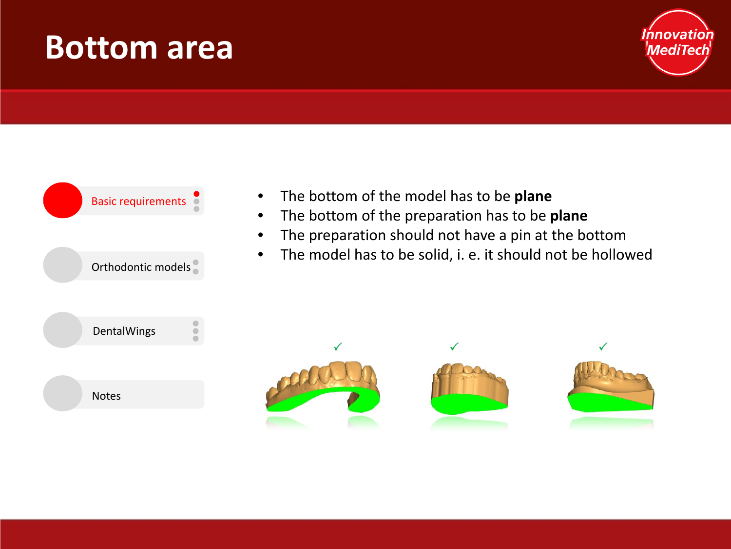#### **Bottom area**





- The bottom of the model has to be **plane**
- The bottom of the preparation has to be **plane**
- The preparation should not have a pin at the bottom
- The model has to be solid, i. e. it should not be hollowed

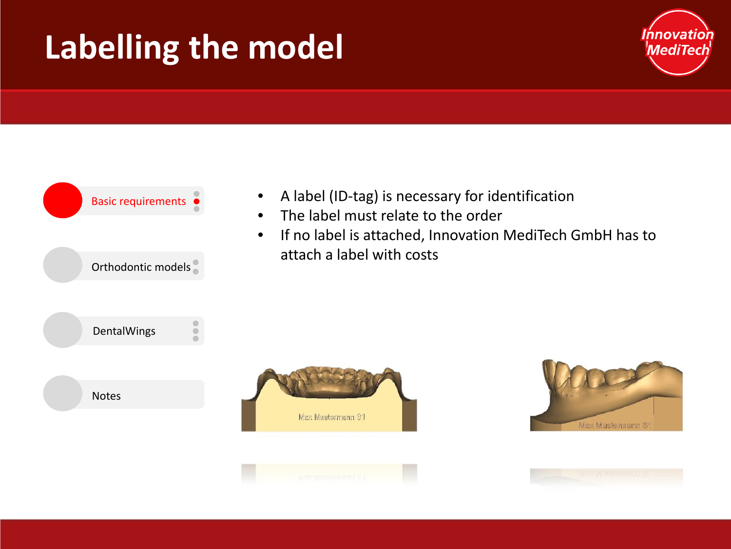# **Labelling the model**





- A label (ID-tag) is necessary for identification
- The label must relate to the order
- If no label is attached, Innovation MediTech GmbH has to attach a label with costs





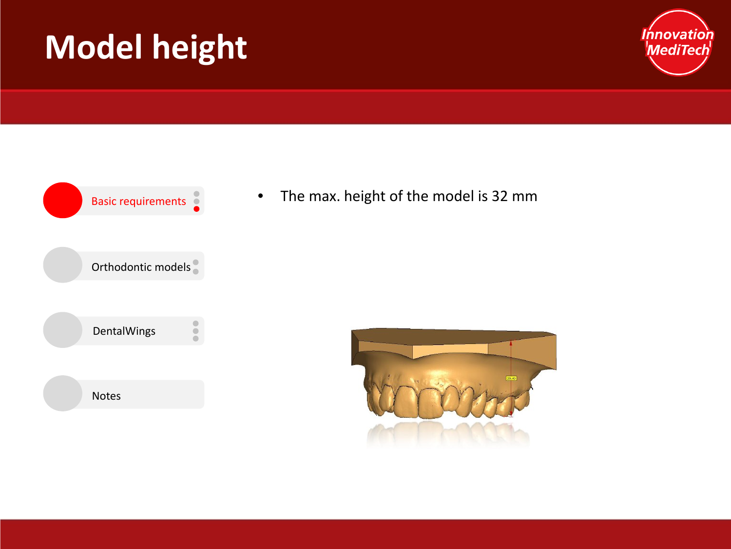# **Model height**





Basic requirements **•** The max. height of the model is 32 mm

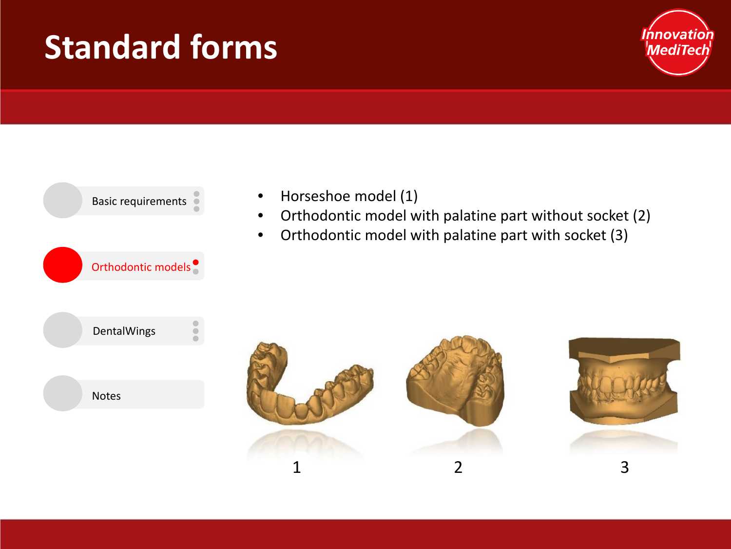#### **Standard forms**





- Horseshoe model (1)
- Orthodontic model with palatine part without socket (2)
- Orthodontic model with palatine part with socket (3)



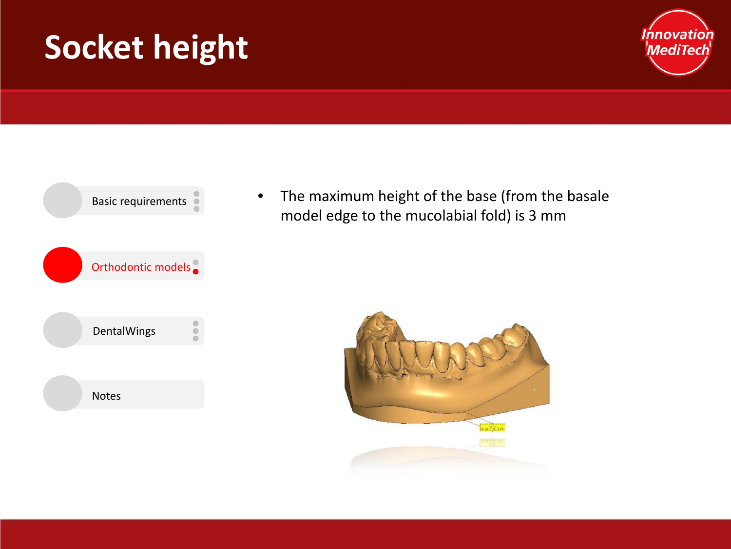## **Socket height**





• The maximum height of the base (from the basale model edge to the mucolabial fold) is 3 mm

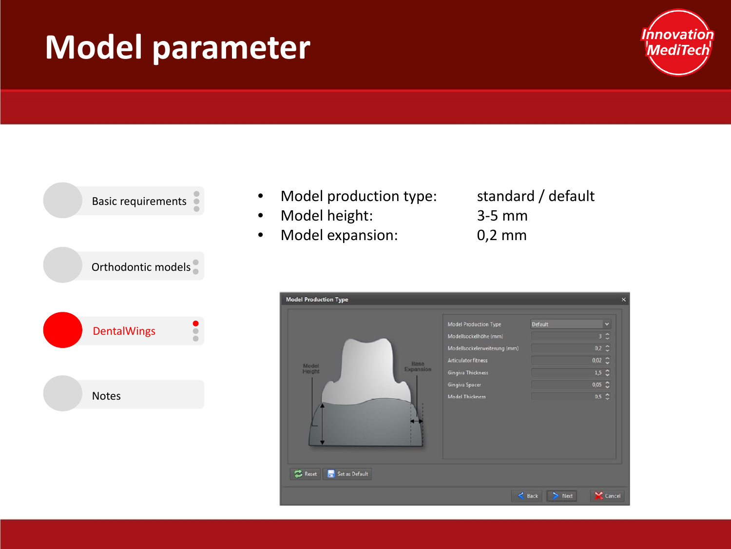## **Model parameter**





- Model production type: standard / default
- Model height: 3-5 mm
- Model expansion: 0,2 mm
- 

| <b>Model Production Type</b>         |                                                                                                                                                                                             |                  | $\boldsymbol{\mathsf{x}}$                                                                                                                |
|--------------------------------------|---------------------------------------------------------------------------------------------------------------------------------------------------------------------------------------------|------------------|------------------------------------------------------------------------------------------------------------------------------------------|
| Base<br>Model<br>Expansion<br>Height | <b>Model Production Type</b><br>Modellsockelhöhe (mm)<br>Modellsockelerweiterung (mm)<br><b>Articulator fitness</b><br><b>Gingiva Thickness</b><br>Gingiva Spacer<br><b>Model Thickness</b> | <b>Default</b>   | $\checkmark$<br>$3\degree$<br>$0.2$ $\degree$<br>$0,02$ $\degree$<br>$1,5$ $\sim$<br>$0,05$ $\degree$<br>$0.5 \text{ } \text{ }^{\circ}$ |
| $\mathbb{Z}$ Reset<br>Set as Default |                                                                                                                                                                                             |                  |                                                                                                                                          |
|                                      |                                                                                                                                                                                             | $&$ Back<br>Next | Cancel                                                                                                                                   |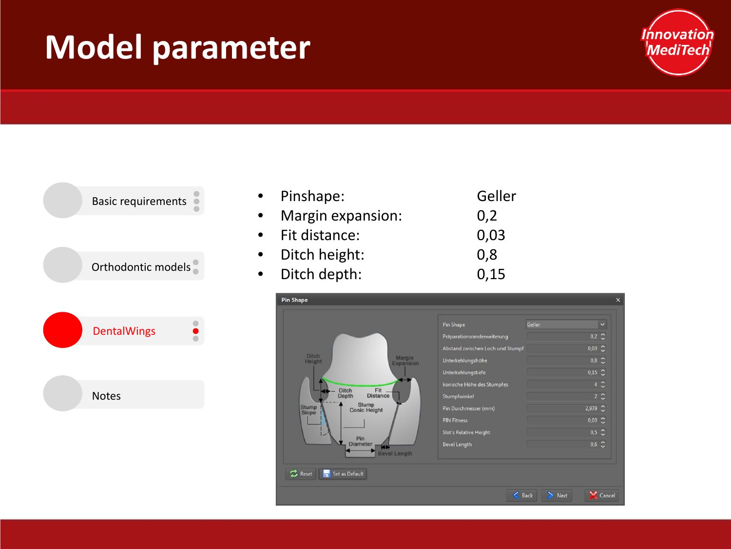## **Model parameter**





|           | • Pinshape:       | Geller |
|-----------|-------------------|--------|
| $\bullet$ | Margin expansion: | 0,2    |
|           | • Fit distance:   | 0,03   |
| $\bullet$ | Ditch height:     | 0,8    |
| $\bullet$ | Ditch depth:      | 0,15   |
|           |                   |        |

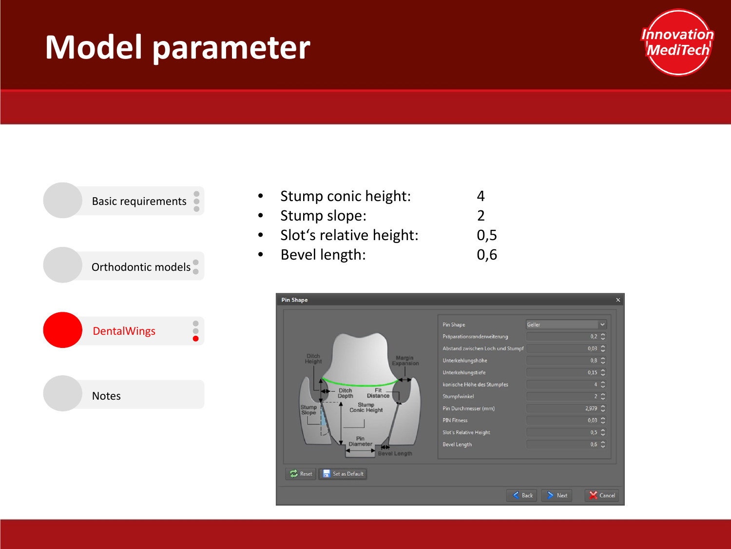## **Model parameter**





| Stump conic height:     | 4   |
|-------------------------|-----|
| Stump slope:            | 2   |
| Slot's relative height: | 0,5 |
| Bevel length:           | 0.6 |